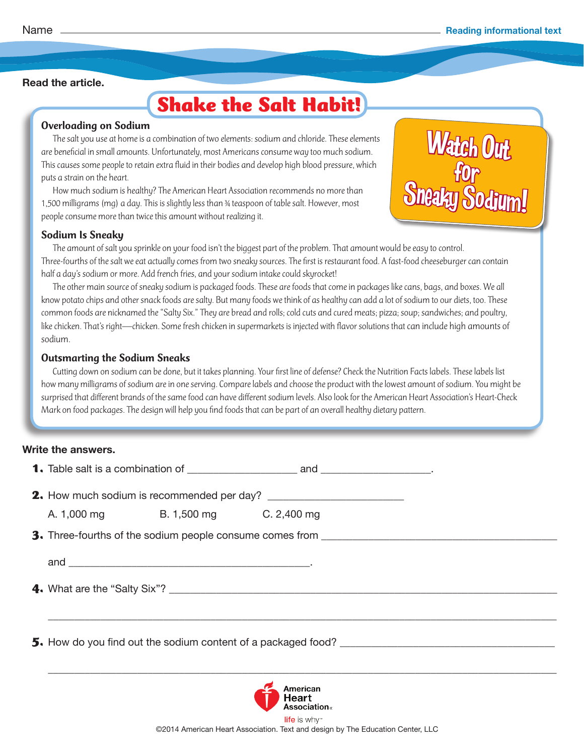Watch Out

for<br>Sneaky Sodium!

#### **Read the article.**

# **Shake the Salt Habit!**

#### Overloading on Sodium

The salt you use at home is a combination of two elements: sodium and chloride. These elements are beneficial in small amounts. Unfortunately, most Americans consume way too much sodium. This causes some people to retain extra fluid in their bodies and develop high blood pressure, which puts a strain on the heart.

How much sodium is healthy? The American Heart Association recommends no more than 1,500 milligrams (mg) a day. This is slightly less than ¾ teaspoon of table salt. However, most people consume more than twice this amount without realizing it.

#### Sodium Is Sneaky

The amount of salt you sprinkle on your food isn't the biggest part of the problem. That amount would be easy to control. Three-fourths of the salt we eat actually comes from two sneaky sources. The first is restaurant food. A fast-food cheeseburger can contain half a day's sodium or more. Add french fries, and your sodium intake could skyrocket!

The other main source of sneaky sodium is packaged foods. These are foods that come in packages like cans, bags, and boxes. We all know potato chips and other snack foods are salty. But many foods we think of as healthy can add a lot of sodium to our diets, too. These common foods are nicknamed the "Salty Six." They are bread and rolls; cold cuts and cured meats; pizza; soup; sandwiches; and poultry, like chicken. That's right—chicken. Some fresh chicken in supermarkets is injected with flavor solutions that can include high amounts of sodium.

#### Outsmarting the Sodium Sneaks

Cutting down on sodium can be done, but it takes planning. Your first line of defense? Check the Nutrition Facts labels. These labels list how many milligrams of sodium are in one serving. Compare labels and choose the product with the lowest amount of sodium. You might be surprised that different brands of the same food can have different sodium levels. Also look for the American Heart Association's Heart-Check Mark on food packages. The design will help you find foods that can be part of an overall healthy dietary pattern.

#### **Write the answers.**

|                                                               | A. 1,000 mg B. 1,500 mg C. 2,400 mg |  |  |
|---------------------------------------------------------------|-------------------------------------|--|--|
|                                                               |                                     |  |  |
|                                                               |                                     |  |  |
|                                                               |                                     |  |  |
|                                                               |                                     |  |  |
| 5. How do you find out the sodium content of a packaged food? |                                     |  |  |